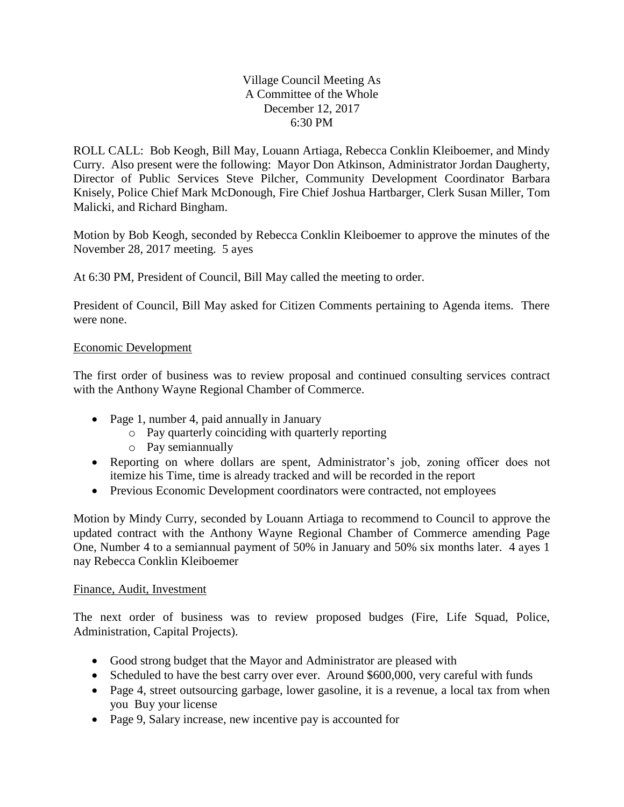## Village Council Meeting As A Committee of the Whole December 12, 2017 6:30 PM

ROLL CALL: Bob Keogh, Bill May, Louann Artiaga, Rebecca Conklin Kleiboemer, and Mindy Curry. Also present were the following: Mayor Don Atkinson, Administrator Jordan Daugherty, Director of Public Services Steve Pilcher, Community Development Coordinator Barbara Knisely, Police Chief Mark McDonough, Fire Chief Joshua Hartbarger, Clerk Susan Miller, Tom Malicki, and Richard Bingham.

Motion by Bob Keogh, seconded by Rebecca Conklin Kleiboemer to approve the minutes of the November 28, 2017 meeting. 5 ayes

At 6:30 PM, President of Council, Bill May called the meeting to order.

President of Council, Bill May asked for Citizen Comments pertaining to Agenda items. There were none.

## Economic Development

The first order of business was to review proposal and continued consulting services contract with the Anthony Wayne Regional Chamber of Commerce.

- Page 1, number 4, paid annually in January
	- o Pay quarterly coinciding with quarterly reporting
	- o Pay semiannually
- Reporting on where dollars are spent, Administrator's job, zoning officer does not itemize his Time, time is already tracked and will be recorded in the report
- Previous Economic Development coordinators were contracted, not employees

Motion by Mindy Curry, seconded by Louann Artiaga to recommend to Council to approve the updated contract with the Anthony Wayne Regional Chamber of Commerce amending Page One, Number 4 to a semiannual payment of 50% in January and 50% six months later. 4 ayes 1 nay Rebecca Conklin Kleiboemer

## Finance, Audit, Investment

The next order of business was to review proposed budges (Fire, Life Squad, Police, Administration, Capital Projects).

- Good strong budget that the Mayor and Administrator are pleased with
- Scheduled to have the best carry over ever. Around \$600,000, very careful with funds
- Page 4, street outsourcing garbage, lower gasoline, it is a revenue, a local tax from when you Buy your license
- Page 9, Salary increase, new incentive pay is accounted for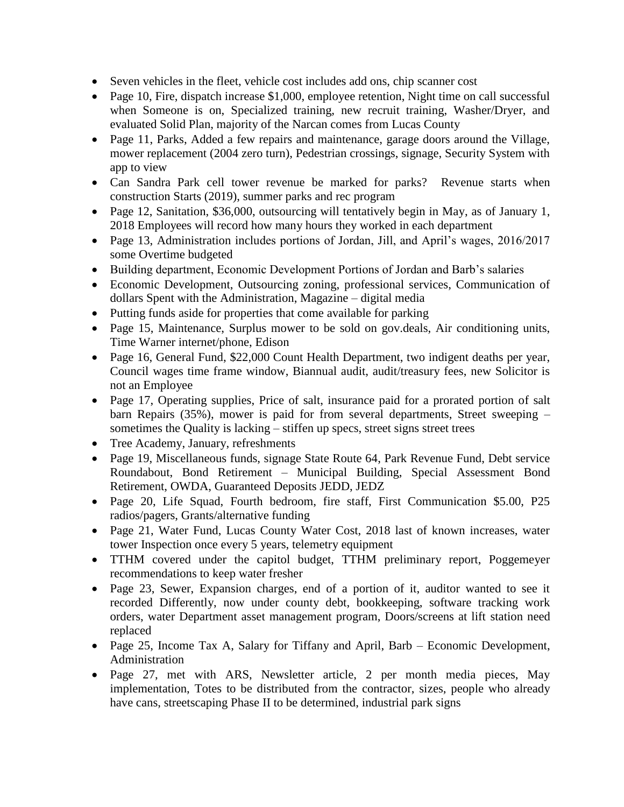- Seven vehicles in the fleet, vehicle cost includes add ons, chip scanner cost
- Page 10, Fire, dispatch increase \$1,000, employee retention, Night time on call successful when Someone is on, Specialized training, new recruit training, Washer/Dryer, and evaluated Solid Plan, majority of the Narcan comes from Lucas County
- Page 11, Parks, Added a few repairs and maintenance, garage doors around the Village, mower replacement (2004 zero turn), Pedestrian crossings, signage, Security System with app to view
- Can Sandra Park cell tower revenue be marked for parks? Revenue starts when construction Starts (2019), summer parks and rec program
- Page 12, Sanitation, \$36,000, outsourcing will tentatively begin in May, as of January 1, 2018 Employees will record how many hours they worked in each department
- Page 13, Administration includes portions of Jordan, Jill, and April's wages, 2016/2017 some Overtime budgeted
- Building department, Economic Development Portions of Jordan and Barb's salaries
- Economic Development, Outsourcing zoning, professional services, Communication of dollars Spent with the Administration, Magazine – digital media
- Putting funds aside for properties that come available for parking
- Page 15, Maintenance, Surplus mower to be sold on gov.deals, Air conditioning units, Time Warner internet/phone, Edison
- Page 16, General Fund, \$22,000 Count Health Department, two indigent deaths per year, Council wages time frame window, Biannual audit, audit/treasury fees, new Solicitor is not an Employee
- Page 17, Operating supplies, Price of salt, insurance paid for a prorated portion of salt barn Repairs (35%), mower is paid for from several departments, Street sweeping – sometimes the Quality is lacking – stiffen up specs, street signs street trees
- Tree Academy, January, refreshments
- Page 19, Miscellaneous funds, signage State Route 64, Park Revenue Fund, Debt service Roundabout, Bond Retirement – Municipal Building, Special Assessment Bond Retirement, OWDA, Guaranteed Deposits JEDD, JEDZ
- Page 20, Life Squad, Fourth bedroom, fire staff, First Communication \$5.00, P25 radios/pagers, Grants/alternative funding
- Page 21, Water Fund, Lucas County Water Cost, 2018 last of known increases, water tower Inspection once every 5 years, telemetry equipment
- TTHM covered under the capitol budget, TTHM preliminary report, Poggemeyer recommendations to keep water fresher
- Page 23, Sewer, Expansion charges, end of a portion of it, auditor wanted to see it recorded Differently, now under county debt, bookkeeping, software tracking work orders, water Department asset management program, Doors/screens at lift station need replaced
- Page 25, Income Tax A, Salary for Tiffany and April, Barb Economic Development, Administration
- Page 27, met with ARS, Newsletter article, 2 per month media pieces, May implementation, Totes to be distributed from the contractor, sizes, people who already have cans, streetscaping Phase II to be determined, industrial park signs